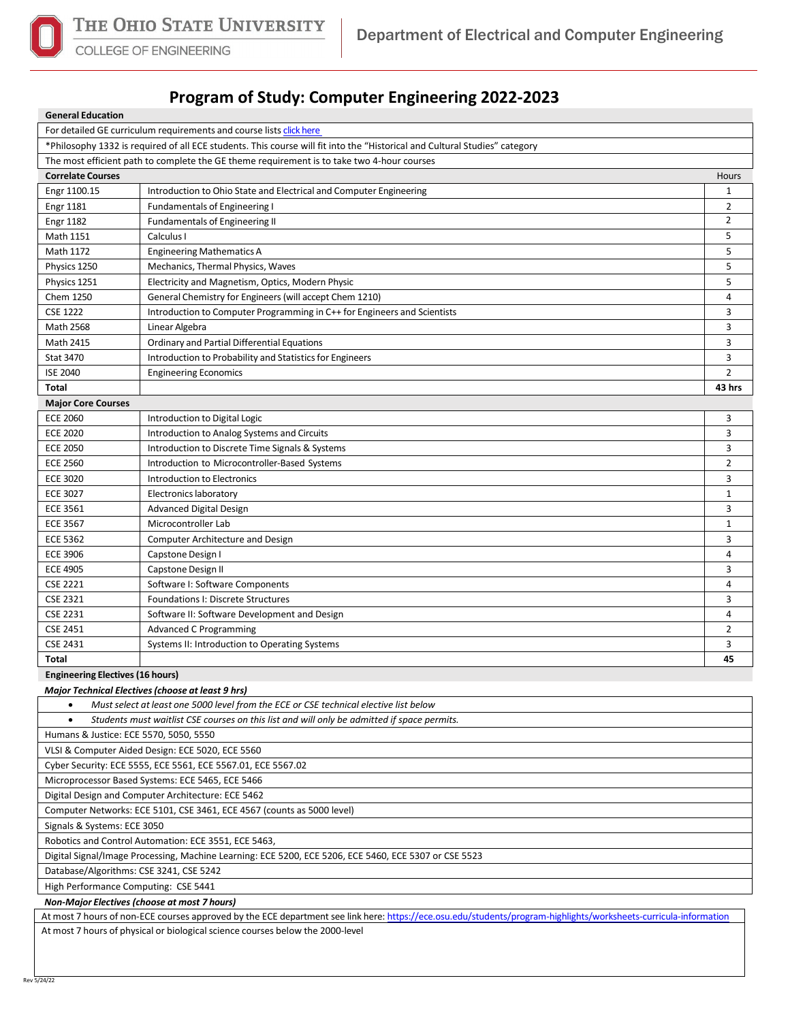

**General Education**

COLLEGE OF ENGINEERING

## **Program of Study: Computer Engineering 2022-2023**

| General Equcation                                                                                                          |                                                                          |                |  |  |  |
|----------------------------------------------------------------------------------------------------------------------------|--------------------------------------------------------------------------|----------------|--|--|--|
| For detailed GE curriculum requirements and course lists click here                                                        |                                                                          |                |  |  |  |
| *Philosophy 1332 is required of all ECE students. This course will fit into the "Historical and Cultural Studies" category |                                                                          |                |  |  |  |
| The most efficient path to complete the GE theme requirement is to take two 4-hour courses                                 |                                                                          |                |  |  |  |
| <b>Correlate Courses</b>                                                                                                   |                                                                          | Hours          |  |  |  |
| Engr 1100.15                                                                                                               | Introduction to Ohio State and Electrical and Computer Engineering       | $\mathbf{1}$   |  |  |  |
| <b>Engr 1181</b>                                                                                                           | <b>Fundamentals of Engineering I</b>                                     | $\overline{2}$ |  |  |  |
| <b>Engr 1182</b>                                                                                                           | <b>Fundamentals of Engineering II</b>                                    | $\overline{2}$ |  |  |  |
| Math 1151                                                                                                                  | Calculus I                                                               | 5              |  |  |  |
| Math 1172                                                                                                                  | <b>Engineering Mathematics A</b>                                         | 5              |  |  |  |
| Physics 1250                                                                                                               | Mechanics, Thermal Physics, Waves                                        | 5              |  |  |  |
| Physics 1251                                                                                                               | Electricity and Magnetism, Optics, Modern Physic                         | 5              |  |  |  |
| Chem 1250                                                                                                                  | General Chemistry for Engineers (will accept Chem 1210)                  | $\overline{4}$ |  |  |  |
| <b>CSE 1222</b>                                                                                                            | Introduction to Computer Programming in C++ for Engineers and Scientists | 3              |  |  |  |
| Math 2568                                                                                                                  | Linear Algebra                                                           | 3              |  |  |  |
| Math 2415                                                                                                                  | Ordinary and Partial Differential Equations                              | 3              |  |  |  |
| <b>Stat 3470</b>                                                                                                           | Introduction to Probability and Statistics for Engineers                 | 3              |  |  |  |
| <b>ISE 2040</b>                                                                                                            | <b>Engineering Economics</b>                                             | $\overline{2}$ |  |  |  |
| <b>Total</b>                                                                                                               |                                                                          | 43 hrs         |  |  |  |
| <b>Major Core Courses</b>                                                                                                  |                                                                          |                |  |  |  |
| <b>ECE 2060</b>                                                                                                            | Introduction to Digital Logic                                            | 3              |  |  |  |
| <b>ECE 2020</b>                                                                                                            | Introduction to Analog Systems and Circuits                              | 3              |  |  |  |
| <b>ECE 2050</b>                                                                                                            | Introduction to Discrete Time Signals & Systems                          | 3              |  |  |  |
| <b>ECE 2560</b>                                                                                                            | Introduction to Microcontroller-Based Systems                            | $\overline{2}$ |  |  |  |
| <b>ECE 3020</b>                                                                                                            | Introduction to Electronics                                              | 3              |  |  |  |
| <b>ECE 3027</b>                                                                                                            | Electronics laboratory                                                   | $\mathbf{1}$   |  |  |  |
| <b>ECE 3561</b>                                                                                                            | Advanced Digital Design                                                  | 3              |  |  |  |
| <b>ECE 3567</b>                                                                                                            | Microcontroller Lab                                                      | $\mathbf 1$    |  |  |  |
| <b>ECE 5362</b>                                                                                                            | <b>Computer Architecture and Design</b>                                  | 3              |  |  |  |
| <b>ECE 3906</b>                                                                                                            | Capstone Design I                                                        | $\overline{4}$ |  |  |  |
| <b>ECE 4905</b>                                                                                                            | Capstone Design II                                                       | 3              |  |  |  |
| <b>CSE 2221</b>                                                                                                            | Software I: Software Components                                          | 4              |  |  |  |
| <b>CSE 2321</b>                                                                                                            | Foundations I: Discrete Structures                                       | 3              |  |  |  |
| <b>CSE 2231</b>                                                                                                            | Software II: Software Development and Design                             | $\overline{4}$ |  |  |  |
| <b>CSE 2451</b>                                                                                                            | <b>Advanced C Programming</b>                                            | $\overline{2}$ |  |  |  |
| CSE 2431                                                                                                                   | Systems II: Introduction to Operating Systems                            | 3              |  |  |  |
| Total                                                                                                                      |                                                                          | 45             |  |  |  |
| <b>Engineering Electives (16 hours)</b>                                                                                    |                                                                          |                |  |  |  |
| <b>Major Technical Electives (choose at least 9 hrs)</b>                                                                   |                                                                          |                |  |  |  |
| Must select at least one 5000 level from the ECE or CSE technical elective list below                                      |                                                                          |                |  |  |  |
| Students must waitlist CSE courses on this list and will only be admitted if space permits.<br>$\bullet$                   |                                                                          |                |  |  |  |
| Humans & Justice: ECE 5570, 5050, 5550                                                                                     |                                                                          |                |  |  |  |
| VLSI & Computer Aided Design: ECE 5020, ECE 5560                                                                           |                                                                          |                |  |  |  |
| Cyber Security: ECE 5555, ECE 5561, ECE 5567.01, ECE 5567.02                                                               |                                                                          |                |  |  |  |

Microprocessor Based Systems: ECE 5465, ECE 5466

Digital Design and Computer Architecture: ECE 5462

Computer Networks: ECE 5101, CSE 3461, ECE 4567 (counts as 5000 level)

Signals & Systems: ECE 3050

Robotics and Control Automation: ECE 3551, ECE 5463,

Digital Signal/Image Processing, Machine Learning: ECE 5200, ECE 5206, ECE 5460, ECE 5307 or CSE 5523

Database/Algorithms: CSE 3241, CSE 5242

High Performance Computing: CSE 5441

*Non-Major Electives (choose at most 7 hours)*

At most 7 hours of non-ECE courses approved by the ECE department see link here[: https://ece.osu.edu/students/program-highlights/worksheets-curricula-information](https://ece.osu.edu/students/program-highlights/worksheets-curricula-information) At most 7 hours of physical or biological science courses below the 2000-level